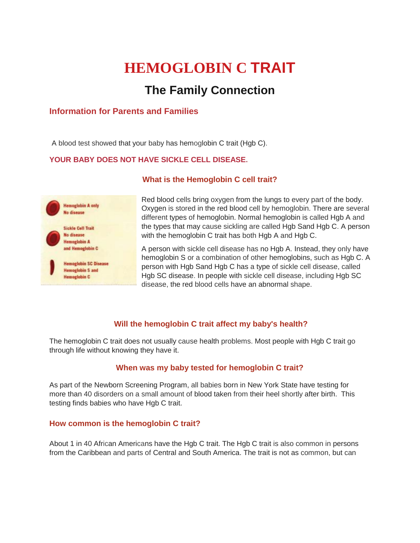# **HEMOGLOBIN C TRAIT**

# **The Family Connection**

## **Information for Parents and Families**

A blood test showed that your baby has hemoglobin C trait (Hgb C).

#### **YOUR BABY DOES NOT HAVE SICKLE CELL DISEASE.**



#### **What is the Hemoglobin C cell trait?**

Red blood cells bring oxygen from the lungs to every part of the body. Oxygen is stored in the red blood cell by hemoglobin. There are several different types of hemoglobin. Normal hemoglobin is called Hgb A and the types that may cause sickling are called Hgb Sand Hgb C. A person with the hemoglobin C trait has both Hgb A and Hgb C.

A person with sickle cell disease has no Hgb A. Instead, they only have hemoglobin S or a combination of other hemoglobins, such as Hgb C. A person with Hgb Sand Hgb C has a type of sickle cell disease, called Hgb SC disease. In people with sickle cell disease, including Hgb SC disease, the red blood cells have an abnormal shape.

### **Will the hemoglobin C trait affect my baby's health?**

The hemoglobin C trait does not usually cause health problems. Most people with Hgb C trait go through life without knowing they have it.

### **When was my baby tested for hemoglobin C trait?**

As part of the Newborn Screening Program, all babies born in New York State have testing for more than 40 disorders on a small amount of blood taken from their heel shortly after birth. This testing finds babies who have Hgb C trait.

#### **How common is the hemoglobin C trait?**

About 1 in 40 African Americans have the Hgb C trait. The Hgb C trait is also common in persons from the Caribbean and parts of Central and South America. The trait is not as common, but can